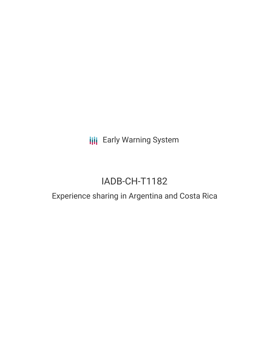**III** Early Warning System

# IADB-CH-T1182

## Experience sharing in Argentina and Costa Rica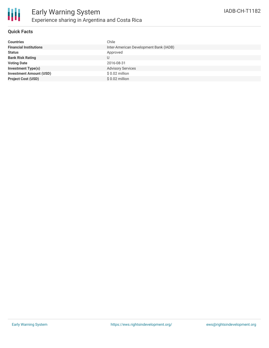

#### **Quick Facts**

| <b>Countries</b>               | Chile                                  |
|--------------------------------|----------------------------------------|
| <b>Financial Institutions</b>  | Inter-American Development Bank (IADB) |
| <b>Status</b>                  | Approved                               |
| <b>Bank Risk Rating</b>        | U                                      |
| <b>Voting Date</b>             | 2016-08-31                             |
| <b>Investment Type(s)</b>      | <b>Advisory Services</b>               |
| <b>Investment Amount (USD)</b> | $$0.02$ million                        |
| <b>Project Cost (USD)</b>      | $$0.02$ million                        |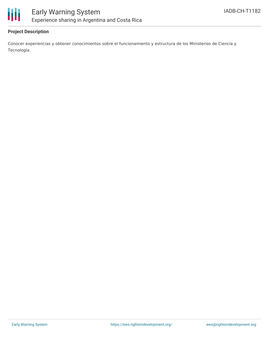

#### **Project Description**

Conocer experiencias y obtener conocimientos sobre el funcionamiento y estructura de los Ministerios de Ciencia y Tecnología.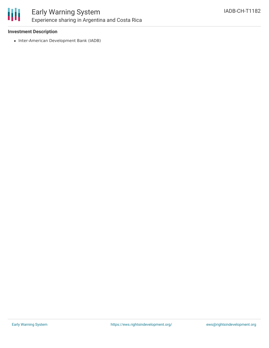

### Early Warning System Experience sharing in Argentina and Costa Rica

#### **Investment Description**

• Inter-American Development Bank (IADB)